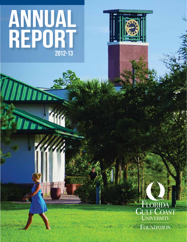# ANNUAL REPORT  $2012 - 13$

WWW S

White Le





**FOUNDATION**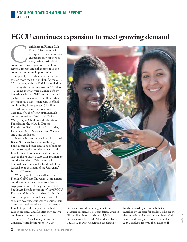## **FGCU continues expansion to meet growing demand**

onfidence in Florida Gulf<br>
Coast University remains<br>
strong, with the communi<br>
enthusiastically supporting<br>
the growing institution's<br>
commitment to a rigorous curriculum,<br>
regional impact and ophanoment of the Coast University remains strong, with the community enthusiastically supporting the growing institution's regional impact and enhancement of the community's cultural opportunities.

Support by individuals and businesses totaled more than \$14 million for the 2012- 13 fiscal year, with the FGCU Foundation exceeding its fundraising goal by \$2 million.

Leading the way were planned gifts by long-time educator William J. Garbey, who pledged his estate of \$1.16 million, while international businessman Karl Sheffield and his wife, Alice, pledged \$1 million.

In addition, generous donations were made by the following individuals and organizations: David and Cecile Wang; Naples Children and Education Foundation; the Mary E. Dooner Foundation; SWFL Children's Charities; Deran and Karen Soovajian; and William and Stacy Anderson.

Financial institutions such as Fifth Third Bank, Northern Trust and Wells Fargo Bank continued their traditions of support by sponsoring the President's Scholarship Luncheon and popular annual fundraisers such as the Founder's Cup Golf Tournament and the President's Celebration, which honored Scott Lutgert for his decade-long leadership as chairman of the University's Board of Trustees.

"We are proud of the excellence that Florida Gulf Coast University demonstrates and the growth it continues to enjoy in large part because of the generosity of the Southwest Florida community," says FGCU President Wilson G. Bradshaw. "It is this level of support that makes it possible for so many deserving students to achieve their dreams of a college education and permits FGCU to provide them with the highcaliber programs and facilities they deserve and have come to expect here."

The 2012-13 academic year saw the university's enrollment rise to 13,600



students enrolled in undergraduate and graduate programs. The Foundation awarded \$1.3 million in scholarships to 1,066 students. An additional 251 students shared \$329,512 in First Generation scholarships,

funds donated by individuals that are matched by the state for students who are the first in their families to attend college. With winter and spring ceremonies, more than 2,300 students received their degrees. ■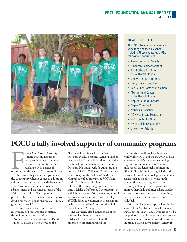### **FGCU FOUNDATION ANNUAL REPORT**

2012 - 13



#### REACHING OUT

The FGCU Foundation supports a wide range of special events, including those sponsored by the following organizations:

- American Cancer Society
- American Heart Association
- Big Brothers Big Sisters of Southwest Florida
- CREW Land & Water Trust
- Harry Chapin Food Bank
- Lee County Homeless Coalition
- Multicultural Center of Southwest Florida
- Naples Botanical Garden
- Naples Town Hall
- Nations Association
- NCH Healthcare Foundation
- PACE Center for Girls
- SWFL Children's Charities
- Uncommon Friends

## **FGCU a fully involved supporter of community programs**

Forda Gulf Coast University<br>
is more than an institution<br>
of higher learning: It's a fully<br>
engaged community partner,<br>
reaching out to dozens of<br>
organizations throughout Southwest Florida.<br>
"The university plays an integ lorida Gulf Coast University is more than an institution of higher learning: It's a fully engaged community partner, reaching out to dozens of

"The university plays an integral role in the community when it comes to education, culture, the economy and charitable causes," says Chris Simoneau, vice president for advancement and executive director of the FGCU Foundation. "It's important that people realize this isn't a one-way street: We don't simply seek donations, we contribute a great deal as well."

The university takes an active role in a variety of programs and initiatives throughout Southwest Florida.

Some involve individuals, such as President Wilson G. Bradshaw, who serves on the

Alliance of Educational Leaders Board of Directors; Naples Botanical Garden Board of Directors; Lee County Education Foundation; and Searching for Solutions, Inc. Board of Directors. He and his wife, Jo Anna, are also trustees of SWFL Children's Charities, which raises money for the Golisano Children's Hospital as well as programs at FGCU and Florida Southwestern College.

Other efforts involve groups, such as the annual Make a Difference Day program, in which hundreds of FGCU students, alumni, faculty and staff join forces with employees of Wells Fargo to volunteer at organizations such as the Salvation Army and the Gulf Coast Humane Society.

The university also belongs to all of the region's chambers of commerce.

Many FGCU professors lend their expertise to programs around the

community as well, such as those who work with FGCU and the NAACP to host a two-week STEM (science, technology, engineering and mathematics) Camp for high school students each summer; the GEMS (Girls in Engineering, Math and Science) for middle-school girls; and annual events such as the district-wide math competition and solar go-kart races.

Young athletes get the opportunity to improve their skills and meet college student – athletes at summer camps for swimming, basketball, soccer, cheering, golf and volleyball.

FGCU also has played a pivotal role in the launch of the Southwest Florida Economic Development Alliance and continues to hold a key position. It also helps nurture independent businesses in the region through the efforts of the Small Business Development Center. ■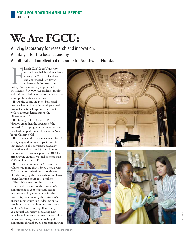## **We Are FGCU:**

A living laboratory for research and innovation, A catalyst for the local economy, A cultural and intellectual resource for Southwest Florida.

lorida Gulf Coast University reached new heights of excellence during the 2012-13 fiscal year and approached significant milestones in its growth and history. As the university approached enrollment of 14,000, the students, faculty and staff provided many reasons to celebrate accomplishments such as these:

■ On the court, the men's basketball team enchanted hoops fans and generated invaluable national exposure for FGCU with its unprecedented run to the NCAA Sweet 16.

■ On stage, FGCU student Priscila Navarro embodied the strength of the university's arts programs by becoming the first Eagle to perform a solo recital at New York's Carnegie Hall.

■ In the scientific research arena, FGCU faculty engaged in high-impact projects that enhanced the university's scholarly reputation and attracted \$13 million in research and program support in 2012-13, bringing the cumulative total to more than \$173 million since 1997.

■ In the community, FGCU students volunteered more than 160,000 hours with 250 partner organizations in Southwest Florida, bringing the university's cumulative service-learning hours to 1.2 million.

Fracheld aculf Coast University<br>
reached new hielpisto f excellence<br>
during the 2012-13 fiscal year<br>
and approached significant<br>
miclstones in its growth and<br>
history. As the university approached<br>
enrollment of 14,000, th The achievements of the past year represent the rewards of the university's commitment to excellence and inspire us to set even higher standards for the future. Key to sustaining the university's upward momentum is our dedication to certain pillars: maintaining student success as FGCU's No. 1 priority; flourishing as a natural laboratory, generating new knowledge in science and new opportunities in business; engaging and enriching the community through public programming in





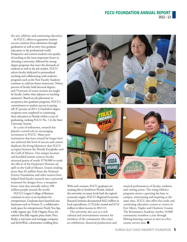the arts, athletics and continuing education.

At FGCU, efforts to guarantee student success continue from admission through graduation as well as entry into graduate education or the professional world. Prospective and current students rate quality of teaching as the most important factor in choosing a university, followed by strong degree programs that meet the demands of students as well as the job market. FGCU selects faculty dedicated to personalized teaching and collaborating with students; programs such as the New Faculty Academy continue to cultivate better instructors. Ninety percent of faculty hold doctoral degrees, and 79 percent of course sections are taught by faculty (rather than adjuncts or teaching assistants). Based on job placement or acceptance into graduate programs, FGCU's commitment to student success is paying off: 87 percent of 2011-12 bachelor's degree recipients were employed or continuing their education in Florida within a year of graduating, ranking FGCU No. 1 in the State University System.

In a year of milestones, research has played a central role in encouraging investment in FGCU. Many peer institutions that have existed far longer have not achieved this level of success and cannot duplicate the living laboratory that FGCU occupies between the Florida Everglades and the Gulf of Mexico. Our unique location and heralded marine sciences faculty attracted grants of nearly \$750,000 to study the effects of the Deepwater Horizon oil spill on the Gulf of Mexico. Grants totaling more than \$2 million from the National Science Foundation and other sources have helped fund faculty research into a potential treatment for dengue fever, a mosquitoborne virus that annually infects 390 million people around the world.

FGCU's Lutgert College of Business continues to serve as an incubator for entrepreneurs. Graduates have launched area businesses such as Venture X, a collaborative work space for entrepreneurs; Purely You Spa, a fully organic spa; Truly Organic Pizza, the nation's first fully organic pizza chain; Price Realty, a real estate and mortgage company; and JetSetWed, a destination wedding firm.



With such ventures, FGCU graduates are creating jobs in Southwest Florida. Indeed, the university on many levels fuels the region's economic engine. FGCU's Regional Economic Research Institute documented \$422 million in local expenditures, 3,723 jobs created and \$154 million in labor income in 2012-13.

The university also acts as a rich cultural and entertainment resource for members of the community who enjoy art exhibitions, theatrical productions and musical performances of faculty, students and visiting artists. The rising athletics programs attract a growing fan base to campus, entertaining and inspiring at the same time. FGCU also offers for-credit and continuing education courses at centers in Fort Myers, Naples and Charlotte County. The Renaissance Academy reaches 10,000 community members a year through lifelong-learning courses at sites in a fivecounty service area. ■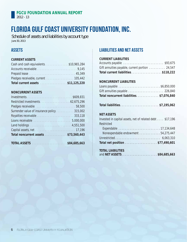## Florida Gulf Coast University Foundation, Inc.

Schedule of assets and liabilities by account type June 30, 2013

#### **ASSETS**

#### **CURRENT ASSETS**

| Cash and cash equivalents\$10,965,284 |  |
|---------------------------------------|--|
|                                       |  |
|                                       |  |
|                                       |  |
| Total current assets \$11,125,220     |  |

#### **NONCURRENT ASSETS**

| Pledges receivable entertainment and 58,500 |  |
|---------------------------------------------|--|
| Surrender value of insurance policy 315,002 |  |
|                                             |  |
|                                             |  |
|                                             |  |
|                                             |  |
| Total noncurrent assets \$73,560,443        |  |
|                                             |  |

| <b>TOTAL ASSETS</b> |  | \$84,685,663 |
|---------------------|--|--------------|
|---------------------|--|--------------|

#### LIABILITIES AND NET ASSETS

#### **CURRENT LIABILITIES**

| Accounts payable \$93,675                       |  |
|-------------------------------------------------|--|
| Gift annuities payable, current portion  24,547 |  |
| Total current liabilities\$118,222              |  |

#### **NONCURRENT LIABILITIES**

| Gift annuities payable  226,840         |  |
|-----------------------------------------|--|
| Total noncurrent liabilities\$7,076,840 |  |

| Total liabilities\$7,195,062 |  |
|------------------------------|--|
|                              |  |

#### **NET ASSETS**

| Invested in capital assets, net of related debt \$17,196 |
|----------------------------------------------------------|
| Restricted                                               |
|                                                          |
| Nonexpendable endowment 54,275,447                       |
|                                                          |
| Total net position \$77,490,601                          |
|                                                          |

#### **TOTAL LIABILITIES**

| and NET ASSETS\$84,685,663 |  |  |  |  |
|----------------------------|--|--|--|--|
|----------------------------|--|--|--|--|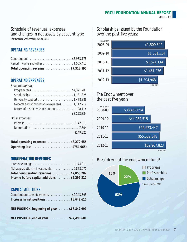#### Schedule of revenues, expenses and changes in net assets by account type For the fiscal year ended June 30, 2013

OPERATING REVENUES

| Total operating revenue \$7,518,590 |
|-------------------------------------|

#### OPERATING EXPENSES

Program services:

| General and administrative expenses 1,112,219 |             |
|-----------------------------------------------|-------------|
| Return of restricted contribution 28,114      |             |
|                                               | \$8,122,834 |
| Other expenses:                               |             |
|                                               |             |

|  |  |  |  |  |  |  |  |  |  |  |  | \$149,821 |  |  |
|--|--|--|--|--|--|--|--|--|--|--|--|-----------|--|--|

| Total operating expenses \$8,272,655 |  |  |
|--------------------------------------|--|--|
|                                      |  |  |

#### NONOPERATING REVENUES

| Net appreciation in investments 6,878,971   |  |
|---------------------------------------------|--|
| Total nonoperating revenues \$7,053,282     |  |
| Income before capital additions \$6,299,217 |  |

#### CAPITAL ADDITIONS

| Contributions to endowments \$2,343,393                             |  |
|---------------------------------------------------------------------|--|
| Increase in net positions $\ldots \ldots \ldots \ldots$ \$8,642,610 |  |
| NET POSITION, beginning of year  \$68,847,991                       |  |
| NET POSITION, end of year \$77,490,601                              |  |

Scholarships issued by the Foundation over the past five years:



#### The Endowment over the past five years:



#### Breakdown of the endowment fund\*

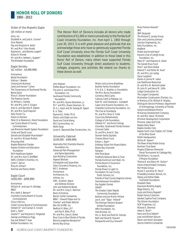

#### **HONOR ROLL OF DONORS** 1993 - 2013

#### Order of the Majestic Eagle

(\$5 million or more)

Alico, Inc. Elizabeth A. and Jack A. Conner\* Ginn Resorts Pop and Marjorie H. Kelly\* Mr. and Mrs.\* Alan Korest Raymond L. and Beverly Lutgert\* Elaine N. Marieb Mr. and Mrs. Herbert J. Sugden\* The Whitaker Foundation

#### Eagle Society

(\$1 million - \$4,999,999)

Anonymous Backe Foundation Kathryn I. Beeken CenturyLink Business Janet and Harvey\* Cohen The Conservancy of Southwest Florida Berne Davis Mary E. Dooner Foundation The Freeman Family Dr. William J. Garbey Mr. and Mrs. John V. Guigon Alan G. and Saundra R. Kaplan Mr. and Mrs. Scott Kapnick Kelly Tractor Co. Kitson & Partners Peter D. & Eleanore A. Kleist Foundation Lee County Board of County Commissioners Lee Memorial Health System Foundation Linda and David Lucas Donald and Elizabeth Manchester\* Dr. and Mrs. Michael Meftah Moorings Park Naples Botanical Garden Naples Children and Education Foundation NCH Healthcare System Mr. and Mrs. Karl S. Sheffield SWFL Children's Charities, Inc Juliet C. Sproul Mary B. Ullman\* Norman and Nancy Vester

#### Eagle Court

(\$500,000 - \$999,999) Anonymous William M. and Joan H. Attridge BB&T Mrs. Keith S. Benson\* Charlotte County Board of County Commissioners Chico's FAS Inc. Collier County Board of Commissioners Herbert D.\* and Carolyn E. Conant Ruth L. Faith\* Gerald F.\* and Marjorie G. Fitzgerald George and Rebecca Fogg Kay and Robert T. Gow Meftah Foundation, Inc.

The Honor Roll of Donors includes all donors who made contributions of \$1,000 or more cumulatively to the Florida Gulf Coast University Foundation, Inc. from April 1, 1993 through June 30, 2013. It is with great pleasure and gratitude that we acknowledge those who have so generously supported Florida Gulf Coast University since the Florida Gulf Coast University Foundation was established. In addition to those listed in this Honor Roll of Donors, many others have supported Florida Gulf Coast University through direct assistance to students, colleges, programs, and activities. We extend our thanks to these donors as well.

John Nejman Pfeffer-Beach Foundation, Inc. The John E. and Aliese Price Foundation, Inc. Southwest Florida Community Foundation Mr. and Mrs. Duane Stranahan, Jr. Mr.\* and Mrs. Duane Swanson, Sr. Dr. E. J. Arpin and Dr. George W. Sypert R. U. Tobe Raymond J. Vitelli, Ph.D. Sharon and Dolph von Arx David and Cecile Wang WCI Communities, Inc. Wells Fargo Jovan A. Zepcevski/Zep Construction, Inc.

#### University Cabinet (\$100,000 - \$499,999)

Abernathy Port Charlotte Kiwanis Foundation Inc. Advanced Pain Management and Spine Specialists Ajax Building Corporation Algenol Biofuels Christopher and Susie Allen Allen Concrete & Masonry, Inc. Bill C. Anderson Anonymous Architecture, Inc. Arthrex, Inc. ASQ - Aviation, Space and Defense Division John and Katherine Backe Mr. and Mrs. Gray C. Ballman Bank of America Barron Collier Companies BB&T - Oswald Trippe and Co. Charles\* and Eileen Belcher Ben Hill Griffin, Inc. Bedford H. Biles, J.D.\* and Fay R. Biles, Ph.D. Mr. and Mrs. Gary E. Bickel Blue Cross & Blue Shield of Florida Bernice Josephine Bongiorno\* Bonita Bay Group

Wilson and Jo Anna Bradshaw Buehler Family Foundation P. H. & A. C. Buehler, Jr. Foundation The Mrs. Bunny Foundation Cornelius (Pat) Cacho Caloosa Catch & Release, Inc. Ruth M. and Cleveland L. Campbell Cape Coral Kiwanis Foundation, Inc. Charlotte Community Foundation, Inc. The Club at Grandezza Mr. and Mrs. Brian E. Cobb Coca-Cola Refreshments College of Life Foundation Gilbeart H.\* and Anne Collings Columbia, Southwest Florida Division Comcast Cable Dr. and Mrs. Amal K. Das Dooner Family Equities Charles Edison Fund Evelyn L. Egan\* Embassy Suites Fort Myers-Estero Estero Bay Chevrolet Fahlgren Fifth Third Bank FineMark National Bank & Trust Florida Aluminum and Steel, Inc. Florida Board of Governors Foundation, Inc. Florida Power & Light Co. Foundation for Lee County Public Schools, Inc. Friends of East County Regional Library Germeshausen Foundation Eva Sugden Gomez **GRAFF** The Greater Cedar Rapids Community Foundation Barbara and Joe Marlin Hilliard Joe A. and "Tippy" Hilliard\* The Hillmyer-Tremont Student Athlete Foundation HMA Foundation, Inc. Hole Montes, Inc. Drs. G. Burtt and Ruth W. Holmes Beth and David B. Howard Marguerite and Guy Howard\*

Mary Frances Howard\* IBIS IBM Eduquest The Richard E. Jacobs Group Glen and LaVonne Johnson Johnson Engineering, Inc. Kelly Foundation, Inc. KeyBank Mabel and Arnold Keys\* Kiwanis Club of Lehigh Acres Foundation, Inc. Peter D.\* and Eleanore A. Kleist The Gerald Knox Fund Marc\* and Doris Kolber Edward T. and Esther W. Kuss\* Mr. and Mrs. Jon Laidig Oscar Langford Estate of Janine M. Leduc Lee Healthcare Resources Dr. and Mrs. W. Bernard Lester Dr. John R. and Veora M. Little Lodge Construction Inc. The Lutgert Companies Manhattan Construction (Florida), Inc. In Memory of Dr. William R. Maples, Distinguish Service Professor, Department of Anthropology, University of Florida Gerard and Barbara Marino McGarvey Development Company Dr. and Mrs. Steve McIntosh Miromar Development Corporation Miromar Lakes Golf Club Naples Daily News Naples Garden Club Naples Yacht Club Chapter, Int'l Order of the Blue Gavel NASA Headquarters Wilma M. Nason\* The News-Press Media Group Northern Trust Bank Fingers O'Bannon Memorial Snook Tournament at Cabbage Key The William J. & Joyce A. O'Meara Foundation Thelma B. and Edwin M. Oulton\* Owen-Ames-Kimball Company Parr Media Group Marlin F. and Alice M. Perry\* PrivateSky Aviation Service, Inc. Sidney and Esther Rabb Charitable Foundation Elizabeth Rash Raymond Building Supply Regal Electric, Inc. Joyce and Emory Rogaski\* Rubell Family Collection Sanibel Captiva Trust Company The Schoen Foundation SCM Properties, LLC Richard E. Sherman Helen E. Shick\* Hans and Erna Siebert\* Joan and William Slocum Deran and Karen Soovajian

Source Interlink Companies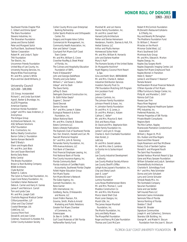1993 - 2013

Southwest Florida Chapter PGA C. Gilbert and Emma Spies\* The Stans Foundation Stevens Industries, Inc. The Stranahan Foundation James and Donna Sublett Peter and Margaret Sulick SunTrust Bank, Southwest Florida Tabiran Corporation Robert M. and Linda K. Taylor THA Foundation Tier Electric, Inc. Uncommon Friends Foundation United Way of Lee County, Inc. University Housing Services, Inc. Wayne Wiles Floorcoverings Mr. and Mrs. James S. White Myra and Van Zandt Williams, Jr.

#### University Council (\$25,000 - \$99,999)

131 Group, Incorporated Richard C. and Linda Sue Ackert Agnoli, Barber & Brundage, Inc. ALLETE Properties American Express American Honda Foundation Judge\* and Mrs. Isaac Anderson, Jr. Anonymous The Antigua Group Architectural Network, Inc. ASG Software Solutions AT&T Foundation B & I Contractors, Inc. Balfour Beatty Construction Barron Collier Jr. Foundation Samira Kanaan Beckwith Beef O'Brady's Glenn and Angela Black Mr. and Mrs. Jack Blais Don and Susan Blanchard Bonita Daily News Britto Central The Brooks Foundation Brown & Root Building Company BSSW Architects Clyde Butcher Robert G. Calkins The Calvin & Flavia Oak Foundation, Inc. Cape Coral Rotary Foundation, Inc. Carrabba's Italian Restaurant Debra A. Carrier and Harry H. Gaines James P. and Patricia A. Carroll Tom and Lynda Case Mr. and Mrs. Joseph Catti Charlotte Regional Medical Center CliftonLarsonAllen, LLP Lillian and Clay Clukies\* Coastal Beverage, Ltd. CobbCorp, LLC Coconut Point Ford Donald B. and Jean Cohen Coleman, Yovanovich & Koester, P.A. Collier County Audubon Society

Collier County Micro-Loan Enterprise/ Banking Partnership Collier Sports Medicine and Orthopaedic Center, P.A. Gregory and Angela Valvo Collins Commercial Air Management, Inc. Community Health Association, Inc. Alan and Selma\* Cooper Courtyard Fort Myers Gulf Coast Town Center Mr. and Mrs. William G. Crone Crowther Roofing & Sheet Metal of Florida, Inc. The Culinary and Hospitality Education Foundation of SWFL Frank D'Alessandro\* John and Georgia DallePezze Timothy and Julie Dalton William L.\* and Susan L. Dalton Udaya\* and Ira Dash The Davis Family Jeffrey D. Davis DeAngelis Diamond Construction Inc. Dr. Edith Potter Deats\* Eugene C. Dooner\* David Dworak Damon Dworak Mr.\* and Mrs. James H. Eakes Ecological Research & Action Foundation, Inc. Edison National Bank Mr. and Mrs. Charles B. Edwards Estero Commons LLC Estero Lifestyle Publications The Explorers Club of Southwest Florida Farr, Farr, Emerich, Hackett and Carr, PA Fawcett Memorial Hospital Dr.\* and Mrs. John B. Fenning Fernandez Family Foundation, Inc. Fifth Avenue Advisors, LLC First Bank of Clewiston First Financial Employee Leasing, Inc. First National Bank of Florida Five County Insurance Agency, Inc. Florida Community Bank Florida Institute of Certified Public Accountants, Southwest Florida Chapter Follett Higher Education Group Fort Myers Toyota Fort Myers Women's Network The Gabor Agency, Inc. Gannett Foundation, Inc. Rene Garner GFA International, Inc. Goldberg, Racila, D'Alessandro and Noone, LLC Grant Fridkin Pearson, P.A. Gravina, Smith, Matte & Arnold Marketing and Public Relations Greater Fort Myers Chamber of Commerce, Inc. Greenscapes Dr. Ben H. Griffin, III Gulf Coast Materials of SW Florida Haffenreffer Family Fund

Marshall W. and Lori Hanno Hanno Family Foundation, Inc. Dr. and Mrs. Lowell Hart Harvard Jolly Architecture Parker and Denise Heinemann Henderson, Franklin, Starnes & Holt, P.A. Herbal Science, LLC Arthur and Phyllis Herman Homewood Suites Hotel Mr. and Mrs. William N. Horowitz John and Darlene Huether Mary V. Hull\* The Humane Society of the United States Dr. Marguerite Hutchins\* Hyatt Regency Coconut Point Resort & Spa Gina and Keith Short, IBERIABANK Mr. and Mrs. Charles K. Idelson Industrial Distribution Services Investors Security Trust Co. ITW Foundation Matching Gift Program Ann Jacobson Fund Jason's Deli Johnson Controls, Inc. The Johnson Family Foundation Johnson-Prewitt & Assoc. Inc. H. Johnston Family Foundation Dr. and Mrs. H. Q. Jones, Jr. Dr. and Mrs. Melvyn J. Katzen Cathryn C. Keller\* Mr. and Mrs. Maurice D. Kent Dick and Nancy Klaas Dr. David and Mrs. Stephanie Klein Kleist Family Foundation Inc. James F. and Lynn E. Knupp Charles G. Koch Charitable Foundation Alan Korest, Jr. LabCorp Dr. and Mrs. Gerald Laboda Mr. and Mrs. Alex S. Lambros La Quinta Inn & Suites Airport LCEC Lee County Industrial Development Authority Lee County Medical Society Alliance Lee County Sheriff's Office Lehigh Acres Jaycee's Foundation, Inc. Chip and Sheryl Lesch Jean E. Loser\* Dorothea D. Low\* Lumina Foundation Luna Rossa Mediterranean Bistro Mr. and Mrs. Thomas C. Lund Maddox Construction Co Mr. and Mrs. Vito Manone Marco Island Shell Club Mark Loren Designs, Inc. Marsh USA, Inc. The James Harper Marshall Foundation, Inc. The Martin Foundation, Inc. Jerry and Betty Mason The Maxpoffell Foundation Roger and Nancy McCabe Foundation Thomas and Carol McCann

Robert R McCormick Foundation McDonald's Restaurant's/Adams & O'Reilly, Inc. Roy and Beverly McTarnaghan The Mediterra Foundation Fund Dr. William C. Merwin\* Miracles on the March Miromar Outlet West, LLC Moe's Southwest Grill Montrose Auto Group Mr. and Mrs. Edward A. Morton Naples Dawgs, Inc. Naples Day Surgery North Naples Diagnostic Imaging Center, Ltd Naples-Fort Myers Greyhound Track Naples Women in Transition Helen E. Nestor\* James D. and Eleanor F. Newton\* Pamela Noland Northwestern Mutual Financial Network O'Brien Hyundai of Fort Myers Office Furniture & Design Center, Inc. Philip W. and Mariette C. Orth\* Palmira Golf Club Pavese Law Firm Peace River Regional Physicians Regional Healthcare System PPG Industries, Inc. Preferred Materials, Inc. Premier Properties of SW Florida Private Wealth Consultants Regions Bank The Ritz-Carlton, Naples Riverwoods Plantation Condominium Association William J. Rogan III, Ph.D. Drs. Hudson and Elsa Rogers David and Ellen Rosand Gayle Rosemann and Paul McElwee Rotary Club of Sanibel-Captiva Donald K. and Margaret Routh The Saint Paul Foundation Sanibel Harbour Marriott Resort & Spa Gene and Mary Sarazen Foundation William Schawbel and Judy A. Samelson SchenkelShultz Architecture Charlotte R. Schmidlapp Fund Mr.\* and Mrs. Pete Schmieler Donna and John Schubert Larry and Connie Schuster Schwab Ready Mix, Inc. The Scottsdale Company Securian Foundation Gene and Lee Seidler Self Insured Plans LLC Seminole Casino Immokalee Seminole Tribe of Florida Service Painting of Florida Sheldon T. Shoff Robert W. Shrader Signature Communities Joseph H. and Catherine J. Simmons Skanska USA Building, Inc. George M. and Mabel H. Slocum Foundation from the Joan K. Slocum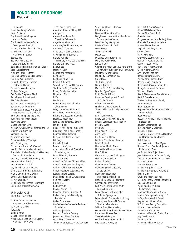1993 - 2013

 Foundation Donald and Angela Smith Kevin W. Smith Southwest Florida Regional Medical Center Southwest Florida Workforce Development Board, Inc. Mr. and Mrs. Douglas R. St. Cerny Dr. Susan E. Stans and Mr. Steven H. Stans\* Stantec, Inc Steinway Piano Society – Greg and Sara Billings Stilwell Enterprises & Restaurant Group Stock Development Alex and Patience Stom\* Suncoast Credit Union Foundation Sunshine Ace Hardware Susan G. Komen for the Cure Southwest Florida Sussex Semiconductor, Inc. Dr. Jean Swangren SW Florida Chapter of RIMS Tech-Tronics Productions Inc TECO Peoples Gas Ted Todd Insurance Agency, Inc. Terra Cotta Golf Charities Ronald L. and Teresa R. Thatcher - In Memory of Lucretia Nichols TKW Consulting Engineers, Inc. Tom Perry Family Foundation Town and Gown United Christian Giving Michael A. Clark, United Mechanical, Inc. Utilities Structures, Inc Val Ward Cadillac George C. Van Rhee\* Marion and Glen\* Van Slyke Vic's Painting, Inc. Mr. and Mrs. Robert W. Walden\* Waldorf Astoria Hotels and Resorts The Idell A. Walkoe Fund of the Manatee Community Foundation Wasmer, Schroeder & Company, Inc. Waterman Broadcasting West Bay Country Club Jaynie and Stanley Whitcomb Donna G. and Thomas E. Williams Alan L. and Kathryn L. Wisne Wright Construction Group Harvey Youngquist Dr. Michele and Richard Yovanovich Zonta Club of Fort Myers Area

#### University Club (\$10,000 - \$24,999)

Dr. B. G. Adhinarayanan and Mrs. Meera B. Adhinarayanan Jerry and Jorja Allen Patsy Allen Barbara Amar Denise Rizzo Ambrefe American Association of University Women of Fort Myers/

 Lee County Branch Inc American Residential Prop LLC Anonymous Anthem Foundation for Objectivist Scholarship Apgar Foundation, Inc Armstrong World Industries, Inc. Artichoke & Company Associates in Cosmetic Surgery ATP Engineering South, PL Richard H. Ballo - In Memory of Melissa C. Johnson Richard C. Banks, Ph.D. BankUnited Fredric M. Barr Barraco and Associates Bay Colony Bay Colony Golf Club Cynthia A. Bennett Susan R. and Richard H. Benson The Thomas Berry Foundation Bireley Family Foundation Florence L. Black\* **BMW** Leo Boisvert Bonita Springs Area Chamber of Commerce Mary L. Bonnette, Ph.D., R.N. Dr. and Mrs. James D. Borden Krishna and Suseela Botlagudur Sreenivas Botlagudur John D. and Barbara A. Bowlin Jeffrey R. Bristol Bristol-Myers Squibb Foundation Broadway Palm Dinner Theatre Roger and Dian Brownell Dr.\* and Mrs. Frank M. Bryan O.J. Buigas Curtis D. Bullock Bundschu Kraft, Inc. Al and Nancy Burnett Charitable Foundation, Inc Dr. and Mrs. H. J. Burnette BVK Advertising Cape Coral Caloosa Chapter ABWA Cape Coral Hospital Auxiliary, Inc. Carlton Fields Attorneys at Law Carroll Property Investments, Inc. Judith and Jack Cassidy Dr. and Mrs. Ronald D. Castellanos Certified Jewelers CH2M HILL Rod Chesnutt Coastal Village, LLC Coleman, Hazzard & Taylor, PA Collier County Hotel & Lodging Association Collier Enterprises Confrerie de la Chaine des Rotisseurs Foundation Congress Jewelers Paul and Charlotte Corddry James\* and Eileen Courtney Dr. and Mrs. Gene Cox

The Board of Trustees of the Cox Trust

Sam B. and Carol G. Crimaldi John Crowley David and Karen Crowther Daughters of the American Revolution- Caloosahatche Chapter Davidson Engineering, Inc. Estate of Marian E. Davis David Deiros Thomas DeMarchi Desco, LLC D. Garrett Construction, Inc. Dolly and Hank\* Diers James B. Doll\* Charles and Helen Donahue Fund of the Community Foundation of Collier County Doubletree Guest Suites Dougherty Foundation Inc. Cathy Doyle The Duffus Family Dufrane Jewelers Mr. and Mrs.\* W. Harry Durling Dr. Allan Dyen-Shapiro Earth Charter US, Inc Economic Development Council of Collier County Edison Garden Club Frieda\* and Heard Edwards Thomas Ehlers and Sandy McCartney Ehlers Elite Island Resorts Estero Gulf Coast Kiwanis Club Estuary Conservation Association Susan C. Evans **EverBank** Everglades A H E C, Inc. Alina Eydel Eye Centers of Florida Fiddler's Creek Foundation, Inc Patrick E. Field Howard and Kathy Finch First National Bank of Naples Lina C. Fisher Mr. and Mrs. James G. Fitzgerald Dean and Alice Fjelstul Richard Flanders Florida Career Centers Florida Engineering Society, Calusa Chapter Florida Foundation for Responsible Angling, Inc Florida Real Estate Consultants Christine and Terry Flynn Fort Myers Eagles, SW FL Youth Baseball Club, Inc. Foundation of the Rotary Club of Bonita Springs Inc Foundation to Promote Open Society Samuel J and Connie M Frankino Charitable Foundation William E. and Dorothy Fritz Gannett National Shared Service Center Roberto and Renee Garcia Valerie Boyd Gargiulo Garthwaite Family Foundation Mrs. Laverne N. Gaynor

GE Client Business Services General Mills Foundation Mr. and Mrs. Daniel E. Gill GoWaiter.com Congressman and Mrs. Porter J. Goss Graduate Business Association Amy and Peter Gravina Peg and Scott Gray-Vickrey Carole Green Dr. Marci Greene Grey Oaks Country Club, LTD Gulf Coast Pet Partners, Inc. Gulfcoast South AHEC Don J. and Mosey Gunther Gloria Wright Gutwirth Ann Howard Hamilton Hamleg Enterprises, LLC Mr. and Mrs. Homer J. Hand Hanser Family Foundation Harbourside Custom Homes, Inc. Harley-Davidson of Fort Myers William L. Hayden\* Health Management Associates, Inc. Heidt & Associates, Inc. The Donna Price Henry Family Morris Herstein Hilton Garden Inn Hispanic Council of Southwest Florida Laura A. Holquist Hope Hospice Hospitality Financial and Technology Professionals Houchin Construction Inc. HSA Engineers & Scientists Julian L. Hudson\* Lillian S. Hudson\*/Christina Muratore and Jordan and Erin Hudson IAG Galleries India Association of Fort Myers Norman E. and Caroline P. Jackson Philanthropic Fund Jan D. and Peter E. Jacobsen Jewish Federation of Collier County Kenneth R. and Kimberly L. Johnson Dorothy L. Jones Paul and Susan Jones Dr. and Mrs. John C. Kagan Dr. and Mrs. George C. Kalemeris Richard L. Kelly Chuck and Helen Ketteman K. J. King Family Limited Partnership Klaas Capital Group Merrill and Gracia Kuller Philanthropic Fund Landmark Development Group Landon Development Group, LLC LaPlaya Beach & Golf Resort Stephen and Nicole LaQuis W & J Larson Family Foundation Marc and Lise Laviolette Rodney and Wendy Law Lee County Mosquito Control District Lely Development Vee H. Leonard Maureen and Arnold Lerner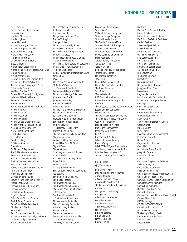Bar Louie

1993 - 2013

Gary Levenson David Lewis and Karen Orman James W. Lewis Lifestyles Chiropractic Marilyn Lightner James Lintzenich Mr. and Mrs. Clyde A. Locker Mr. and Mrs. James Lozelle Scott and Simone Lutgert Make A Wish Foundation of Southern Florida Dr. and Mrs. Allen B. Malnak Elissa D. Manna Marco Beach Ocean Resort Marco Island Marriott Resort & Golf Club L. Gail Markham McBLT Ventures, Inc. Duncan McBride and Barbara Krell Mr. and Mrs. James McFadden The Honorable Gwendolyn F. McLin Miles Media Group Kathleen F. Miller, Ed.D. Dr. and Mrs. Charles J. Montgomery Valery and Mechlin Moore Robert and Linda Morris Kenneth Mortenson The Naples Beach Hotel & Golf Club Naples Flatbread Naples Music Club Naples Press Club Naples Town Hall Naples United Church of Christ Nelson Marine Construction, Inc. NeoGenomics Laboratories Nurse Practitioner Council of Collier County Oakes Family Carole L. Olling OMG Americas, Inc. Sherry Pate Dr. Richard C. Pegnetter\* The William Penn Foundation Butch and Dorothy Perchan The John J. Petracco Family Fred and Stephanie Pezeshkan Pinchers Crab Shack Poelker Transportation Services, Inc. John and Jinjer Pollock Frank and Linda Potestio Dave and Arlene Powell Steven W. and Kathleen R. Powley Prager, Sealy & Co., LLC Premier Insurance Corporation Premier Sotheby's Press Printing Company G. Jeffrey Provol Publix Super Markets Charities Paul H. Pusey Foundation Brian T. and Melanie B. Rasnick Charles\* and Terri Ray RCP Services, LLC Real Estate Investment Society Mr. and Mrs. Gunther and Joan Reese Dr. James and Joann Rehak Mary and Rick Reichle

REIS Scholarship Foundation, Inc Dr. Roslyn Rensch Tom and Linda Rice Rick Johnson Auto and Tire Frances V. Riley\* George F. Riley Mr. and Mrs. Ronald J. Riley Dr. and Mrs.\* Thomas J. Roberts Rockefeller Philanthropy Advisors Roetzel & Andress Ronald McDonald House Charities of Southwest Florida Rosalynn Carter Institute for Caregiving Rotary Club of Fort Myers South - Trippe Scholarship Rotary Foundation of Fort Myers South Marian Roy RWA, Inc. Klaus\* and Mary Ann Saegebarth St. Andrew's Society of Southwest Florida, Inc Kenneth and Halcyon St. Hill Mr. and Mrs. George F. Sanders\* John and Joan Scanlon James W. Scatterday Pam and Bill Schreiber Dean E. Schreiner Michael J. and Andrea L. Schroeder Richard and Maureen Schulze Jerry and Donna Schwab Marguerite Scribante Foundation Scripps Howard Foundation Ruth M. Service In Memory of Bill Service Frances B. Setterblade\* Shelton Jaguar/Porsche/Range Rover Shelving and More William F. Sibley Foundation Dr. and Mrs. Peter M. Sidell Signs & Things SimplexGrinnell C. Mickey and Jean M.\* Skinner Carol R. Slade A. James and M. Kathryn Smith Bruce T. Smith Wilbur C. Smith Grace J. Sneckenberger\* Sons of Norway Scandia Lodge 3-617 Ted Sottong Southern Audio Visual, Inc. South Seas Resorts Southwest Florida Eagles Southwest Florida Enterprises SW Florida Professional Golfers Association Southwest Florida Water Environment Association Michael and Karin Standen Stark Community Foundation Adria and Jerry Starkey Edward V. Staros State Farm Insurance State Farm Mutual Automobile Insurance Company

The Rusty Staub Foundation

Glenn\* and Barbara Steil Saul I. Stern\* STH Architectural Group, Inc. Stiles Landscape Company Striano Financial Group The Suedhoff Memorial Trust Suncoast Moving & Storage, Inc. Suncoast Credit Union Sunstream Hotels and Resorts Surety Construction Company Sysco Food Services Taishoff Family Foundation Tampa Bay Trane Taste of Collier Bob and Linda Taylor Foundation Taylor Rental Center Ms. Pamela Templeton TIAA-CREF Dr. and Mrs. Ronald B. Toll Greg Tolley and Rebecca Totaro The Travel Team, Inc. Truly Nolen 'Tween Waters Inn UBS Financial Services, Inc. United States Sugar Corporation US Bank The Vineyards Development Corporation Joseph and Lee Vumbacco Michael Walker The Walker Contracting Group, Inc. The George R. Wallace Foundation Wal-Mart Foundation John and Maggie Warfield Daniel and Janet Warner Jason and Cara Webster Enid Weis Christopher B. Welling Wholesale Screen Printing Robert Wigley WINK-TV-Fort Myers Broadcasting Woodward, Pires & Lombardo, P.A. Woodyard & Associates, LLC Yovanovich Family Charitable Trust Gold Circle (\$5,000 - \$9,999) Dr. Randall S. Alberte\*

John and Sarah Jane Alexander Alico Self Storage, LLC Allstate Bioguard Services Inc. Alvarez Site Development The American Teilhard Association Anixter, Inc. George and Lynn Ankney Anonymous Albert and Ana Arazoza Donald W. Ashley Audubon Society of Southwest Florida, Inc. Lillian Austin\* B & J Pin Seekers B & W Golf Cars Linda S. Bacheler Judith E. Baker

Mr. and Mrs. William L. Barton Robert J. Batson Robert H. and Jane M. Becker Mr. & Mrs. Garfield R. Beckstead Cecil C. Beehler Steven and Jean Belcher Evelyn S. Belleman Betty MacLean Travel, Inc. Dr. Sharon Irish Bevins BNL Construction, Inc. Bonita Bay Trianon Bonita Boat Center, Inc. Boran Craig Barber Engel Construction Co., Inc. Paul Braverman The Brickman Group Bridgetree Brooks & Freund, LLC Drs. Jon and Alice Brunner Joseph and Terri Bryan Busey Bank Reg and Sandra Buxton Byck-Rothschild Foundation, Inc. Lawrence and Margaret Byrnes Calistoga Calusa Pines Golf Club Kathleen Cantu Carnes Capital Corporation The Carrington Family Blake A. Carroll - In Memory of Lexton H. Carroll Cecil F. Carter Mary B. Carter Patsy Carter Cavanaugh Capital Management Century 21 Sunbelt Doralu Chanen Claymore Securities, Inc Cleat, LLC Dr. and Mrs. Delos R. Clift Joseph E. Clouse, Inc. Richard M. Clugston COA Coccoloba Chapter Florida Native Plant Society, Inc. College Club Apartments Philip and Robin Coller Collier Building Industry Association, Inc. Collier County Produce, Inc. Comcast Financial Agency Corporation Compass Construction, Inc. Connection Point, Inc. Donald C. and Linda Cook Coreslab Structures Creative Events and Rentals/Taylor Rental Crowne Plaza Hotel CRS Technology CTI/BERK-TEK/ORTRONICS Cummings & Lockwood LLC Dr. Kathleen B. Davey The Family of Evelyn Davis Representative Mike Davis\* Richard A. Davis

Robert S. Dean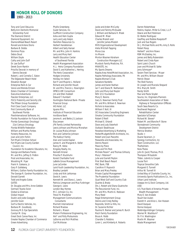1993 - 2013

Tony and Carol DeLuccia Betty Ann Denholtz Memorial Scholarship Fund The Diamond District Diamond Equipment, Inc DiamondHead Beach Resort Ronald and Arlene Diorio Barbara B. Dobbs Dominos Pizza Debra Doud William Doyle Cathy and John Duff Dr. Lee Duffus\* Derek Dunn-Rankin Priscilla Dworak in memory of Dennis Dworak Robert J. and Cornelia C. Eaton The Edgewater Beach Hotel Elevation Burger Enterprise Rent-A-Car Vance and Brenda Ericson Estero Chamber of Commerce Executive Adventures Fewster Enterprises, LLC FGCU Fraternity and Sorority Life The Fifteen Group Foundation First Class Coach Company First Community Bank of Southwest Florida FlexiInternational Software, Inc. Florida Foundation for Future Scientists Florida Gynecologic Oncology/ 21st Century Oncology Florida Wildlife Federation William and Martha Forbes Forestry Resources, Inc Joan and John Forkin Fort Myers Christian School Fort Myers Lee County Garden Council, Inc. Foundation for Academic Educators, Inc. George and Barbara Franks Mr. and Mrs. Jeffrey D. Fridkin Frost and Associates, Inc. Woodring M. Fryer Frank H. Galeana, Jr. Gary P. Galleberg William J Gallion Family Foundation Inc. The George R. Gardner Foundation, Inc. Donald Garrett Todd and Angela Gates **GATES** Dr. Douglas and Mrs. Anne Gebbie Germain Toyota Scion Global & Americas Global Impact Dustin and Jodie Goeggle Jennifer Goen Golf & Electric Vehicles, Inc. Barbara M. Goodbody Gorovoy M.D. Eye Specialists Carolyn M. Gray Great Dock Canoe Race, Inc Greater Naples Chamber of Commerce Green Advertising

Phyllis Greenberg Guest Services, Inc. GulfPoint Construction Company Asha and Hem Gupta Larry and Judy Halpin Hamilton Resources Co. Herbert Handelsman Albert and Sally Hanser Mr. and Mrs. John H. Harkins Larry and Mary Hart Health Education Center of Southwest Florida Health Management Association H. J. Heinz Company Foundation David S. and Katherine L. Herring The Hertz Corporation Hodges University Holiday Inn Select Earl P. and Majorie L. Holland Richard and Jennifer Housh Dr. and Mrs. Francis L. Howington HPBCU-HM Consortium Jim and Ellen Hubbell Edward T. Humbert Huntington National Bank- Private Financial Group IAS Hotel, LLC Iguana Mia Institute of Financial Education IronStone Bank Jerome A. and Bette J.S. Jackson Elsa Jensen JFK Family Limited Partnership Lewis Johnson and Monica Monahan Dr. Louise Malia Johnson Rick and Catherine Johnson The Kakkuri Family Alan and Carole Kaplan James H. and Margaret A. Keller Nancy M. Kelso Kingsley Realty, Inc. Kenneth Kirsner Priscilla P. Kluckhuhn Korest Charitable Fund LaBelle Grove Management June LaCombe Laird Youth Leadership Foundation, Inc. Bradley Landahl Linda and Kirk Lehtomaa David A. Lewis Kenneth W. and Diana L. Lewis Patricia Limegrover and Max Furbringer George A. Llano London Bay Homes M.C. Johnson Co, Inc. Trevor N. MacKellar Management Communications **Consultants** Marriott International Richard Maslow Richard L. Mason Matern Professional Engineering, Inc Ikki\* and Polly Matsumoto LaDonna and Rich Matthes Carl McAloose

Jacke and Arden McCurdy David and Tammy McQuade J. William and Barbara H. Meek Edward M. Meer Charles Mesloh and Jennifer James-Mesloh MHS Organizational Development Aleta Mitchell-Tapping Mona Lisa Irv Moore Morton Wasmer Abraham Construction Managers LLC Murdock Family Medicine, P.A. MWASTE, Inc My Sports Dreams Naples Area Hotel/Motel Association, Inc. Naples Pathology Associates, PA Naples Woman's Club Salvatore Nardello James and Karen Nathan Ian T. and Diane M. Nathanson John and Mary-Gail Naylor NEV 2/11 Foundation Mary E. Nevins Gary G. Newman Family Trust Mr. and Mrs. William E. Newman Nichols & Associates William F. Noll, III OCI Associates Consulting Engineers Omaha Community Foundation Robert O'Neill Michael E. Orlandi Dave and Judy Osterholt Outback Steakhouse Paradise Advertising & Marketing Parker/Mudgett/Smith Architects, Inc. Robert and Joan Pascotto Passarella and Associates, Inc. Dennis Passini Peace by Piece Rosa and Tim Peck Michele Pessin\* and Thomas Gilhooly Mary I. Peterson\* Julie and Garrett Peyton Pink Shell Beach Resort PNC Bank, FSB CarolAnn P. Popovich Brian and Mary Presley Private Capital Management The Prudential Foundation Quail West Golf and Country Club Quarles & Brady Drs. J. Robert and Diana Quatroche The Recursionist Fund, Inc. Mr. and Mrs. Martin A. Redovan Mary Reed Regal Entertainment Group Dennis and Cindy Reilley Reynolds, Smith & Hills, Inc. Dr. Suzanne Richter Pauline R. Riemer and James R. Burch Risch Family Foundation Bruce A. Robb Chandler S. Robbins Loren L. and Kimberly A. Roberts

Darren Robertshaw Robins, Kaplan, Miller & Ciresi, L.L.P. Dewie and Burt Robinson Dr. Walter Rodriguez Geoffrey and Robbie Roepstorff Jack and Sue Rogers Dr. J. Michael Rollo and Ms. Amy S. Rollo Robert Roop Herbert\* and Ann Rowe RSM McGladrey, Inc. James and Betty Rubenstein Robert and Cinda Ryan Saint Luke's Church Joan and Michael B. Salke Jerry Schmoyer\* Severn Trent Services - Moyer Mr. and Mrs. William Shaver Patrick Shean The Shell Factory Dr. Joseph and Marcela Shepard Mrs. Mary W. Smith Randy Smith Paul and Paola Snyder Source, Inc. Engineers-Planners Southeastern Association of State Highway & Transportation Officials South Seas Resorts Co. Southwest Regional Rehabilitation Center Spectator's/Champs Richard W. Steves\* Robert M. and Blanche P. Stone Stoneybrook Community Development District Patricia Stratton Studio + Duane Swanson, Jr. Synergy Contractors, Inc Team Construction, LLC **Thalheimers** Nola Theiss John B. (Jack) Thomas, Ph.D. Thompson Mitsubishi Tilden, Lobnitz & Cooper Louise Torri Tropical Smoothie Cafe Margaret O. Tunnell Arthur W. Tunnell III United Way of Charlotte County, Inc. University Sports Publications Co., Inc. Urban Land Institute Useppa Inn & Dock Company, Ltd. USSI U.S. Trust Bank of America Private Wealth Management Mary E. Van Arsdale Stuart Van Auken Everett H. and Alice L. Van Hoesen David Vazquez Donna Vazquez Walbridge Aldinger Company Warner M. Washburn\* Dr. P. A. Washington Martin M. Wasmer Waste Management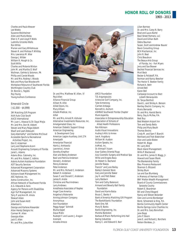1993 - 2013

Charles and Paula Weaver Lee Weeks Suzanne Weinheimer Allen and Marla Weiss Ellen V. P. and Lloyd P. Wells Ludmilla Gricenko Wells Ron White Marian and Gary Whitehouse Steven R. and Melissa P. Whitley Mrs. Lawrence M. Wier George J. Wilder William R. Hough & Co. Scott Willis Charles and Melanie Winton John M. and Martha O. Wolf Wollman, Gehrke & Solomon, PA Phillip and Carole Woods Mr. and Mrs. Rodney I. Woods Bob and Mary Kae Woodworth Workplace Resource of Southwest Florida Worthington Country Club Dr. Bonnie L. Yegidis Roy Young Young Authors Conference

#### Emerald Circle

( \$1,000 - \$4,999)

3M Matching Gift Program AAA Auto Club South AACE International Mr. Juan L. Abascal & Dr. Daysi Mejia Mr. and Mrs. Don W. Abbott Steven and Mary Paige Abbott Wasif and Leah Abboushi Gary Abernathy\* and Darlene McCloud Accessible Sports & Recreational Activities Project, Inc. Don E. Ackerman Larry and Stephanie Acorn Acousti Engineering Company of Florida Janet L. Adams Adams Bros. Cabinetry, Inc. Mr. and Mrs. Robert C. Adkins Adonis Autism Assistance Foundation ADT Security Services Advanced Management Corporation Advanced Masonry Systems Advisors Asset Management Inc AEC National, Inc. Aetna Construction, Inc. African Network of Southwest Florida A.G. Edwards & Sons Agency for Persons with Disabilities Agri-Turf Management, Inc Terry P. and Ann M. Ahola Stewart Aiken John and Susan Akitt Albertson's George and Karlene Alexander Allan Hendy Designs Inc Carmen M. Allen Georgia Allen Jack E. Allen Mr. and Mrs. Jules Allen



Dr. and Mrs. Matthew W. Allen, IV Paul Allen Alliance Financial Group Allison N. Allie Allied Doors, Inc. Mary Allison Allsafe Medical, Inc. Alltel Mr. and Mrs. Arnold R. Alshuler Alternative Investments Resources, Inc. Amalgamated Glass, Inc. American Diabetic Support Group American Engineering & Development Corp American Legion Auxiliary, Unit 274 Ameripath Ameriprise Financial Harris J. Amhowitz Lawrence J. Amon Dorothy Ampthor Alan and Becky Anderson Basil and Patricia Anderson Donald J. Anderson Penny Anderson Peter Anderson Mr. and Mrs. Richard C. Anderson Robert H. Anderson Susan F. and Donald C. Anderson James R. Andre Christine and Paul Andrews Larry Andrews Anesthesia Associates of Naples Angel Care America Angelina's Ristorante Anning-Johnson Company Anonymous Aon Foundation Peggy Apgar' Schmidt Bluma Appel Aqua-Matic Rudolph F. and Lauren J. Aragon Aramark Arcadia Amoco

ARCO Foundation T.D. Argyropoulos Aristocrat Golf Company, Inc. Tyler Armstrong Carmen Arteaga Kenneth A. Aschom ASHRAE Southwest Florida Chapter Mark Asperilla Associates in Entrepreneurship Education Association of Schools of Allied Health Professions Ken Atkinson Audio Visual Innovations Audrey's Attic & Annex Lee A. Augsbury William W. Ausbon Autism Speaks, Inc AvMed, Inc. Dr. Ahmad F. Azam Azar Gallery Oriental Rugs Azul Cosmetic Surgery and Medical Spa Willie and Angela Baca Dr. Robert G. Bachand Jennifer Baeza Francis\* and June Bailey Bailey's General Store Gary and Jennifer Baker Jay H. and Patti Baker Larry Baldwin Tom and Cathy Balenovic Armand and Beverly Ball Family Foundation David and Karrie Balza Bruce C. Banko II Bank of America Matching Gift Program The BankAtlantic Foundation Bank One, NA Mary B. Banks Banks Engineering, Inc. Marsha Bankston Barbara B Mann Performing Arts Hall Baring Industries Nancy C. and Edward E. Barr

Lilian Barroso Dr. and Mrs. Carey N. Barry Brad and Laura Bartel Basil Street Partners, LLC David and Gillian Bath Debra Bauman Susan, Scott and Andrew Baurer Bavis Consulting Group BCH Mechanical, Inc John R. Beal Chris Beaubrun The Beaux-Arts Group of Florida, Inc - Fort Myers Jerry and Sue Beaver Bechtel Financial Services Inc Mort Beck Becker & Poliakoff, P.A. Norman and Nancy Beecher The Hector E. Beeken Family Richard A. Behr Arnold Bell Karen Bell Campaign Account to Elect Lizbeth Benacquisto Dr. Tanya Benford David L. and Shirley A. Benson Bentley Electric Company, Inc. Mario Bernardo Dr. and Mrs. Harold Berris Berry, Day & McFee, P.A. Best Buy Best Western Airport Inn Tom and Sandy Betts Philip and Mary Beuth Thomas Bevins Cindy M. and Sam F. Bianchi Reinhard and Trish Biebricher Alan and Leslie Bielen Robert W. Biggs Mr. Larry Bird Black Island Management Willis P. Blackwood Dr. and Mrs. James D. Blagg, Jr. Howard and Susan Blank The Blankenship Family Bleu Provence Restaurant Shannon S. Blizzard Shirley Blum Les and Sue Blumberg In Memory of Herman O Bly BNY Mellon Wealth Management Board of County Commissioners Sarasota County Robert E. Boardman Bill and Cheryl Bogard Nancy and Steven Bolander Glen and Lonnie Bomberger Bond, Schoeneck & King, P.A. Bonita Community Health Center Bonita Springs Lions Charities Inc Dr. and Mrs. Gary Bonvillian Jane Bopp John P. Boorn Jane E. and Richard J. Borchers Nelson Bordeau, Jr.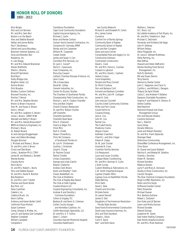1993 - 2013

Nico Borgia Rick and Lori Borman Mr. and Mrs. Sam Borr Boston's on the Beach Alex and Debbie Boswell Stefan and Jennie Bothe Paul T. Boudreaux Daniel and Laura Bourdeau Bowman Internet Systems, LLC Ilona and Brandon Box Bradanna, Inc. H. Lien Bragg Mr. and Mrs. Edward Bransilver Steven Brettholtz Sherie L. Brezina Briarcliff Sprinklers BrickTop's Kathy Bridge-Liles Brighton Hotel, LLC Norma Bristol Dick Broadus Brodeur Custom Clothiers Bronzart Foundry, Inc. Marilyn T. Bronzi Mr. and Mrs. Stephen Brooks Brown & Brown Insurance Alan M. and Susan S. Brown Donn J. Brown Mr. and Mrs. Leighton G. Brown Linda L. Brown, ARNP, MSN Wendell and Betty P. Brown Mr. and Mrs. Harold Brownstein\* BRPH Architects & Engineers, Inc. Michael J. Bruce Dr. Robert Brueck Al and Georgia Bruggemeyer Isaac and Debra Brundage Douglas Brunner J. Michael and Teresa L. Bruno Dr. and Mrs. John S. Bruno Chuck and Dee Bryan Linda L. Buettner Ph.D. CTRS\* James W. and Barbara J. Burkett Wanda Burkey Claudia Burns Kevin Burns Dr. and Mrs. Robert L. Burns Terry and Debbie Busson Dr. and Mrs. David R. Butcher Bob Butehorn Dr. and Mrs. John T. Butler Thomas and Karen Butler Buy Pork, LLC Deva Caanthan Cabela's, Inc. Cadence Music, Inc. Kevin Caffrey Anthony and Karen-Butler Cahill California Pizza Kitchen Susan Cameron Camp, Dresser & McKee, Inc. Larry D. and Sandra Gail Campbell Stephen Campbell William Campbell Campiello's

Canterbury Foundation Cape Coral Community Foundation Capital Insurance Agency, Inc. Michael J. Carlin Brian and Renee Carlson Carlson Harris General Contractors, Inc. Constance B. Carmody, ARNP Shirley and Jim Carpenter William M. Carpenter Carpet Outlet James and Susan S. Carr Carrollton Mill Services, LLC Dr. Jack C. Carver\* Darryl C. Casanueva Case Companies, Inc. Mary Kay Cassani Catholic Charities Diocese of Venice, Inc Jenni Caves CBL & Associates David W. Ceilley Cement Industries, Inc. Center for Ecozoic Studies The Chamber of Southwest Florida Championship Field Construction, Inc. Marilyn L. and H. Clayton Chandler Tina and Bob Chaphe Charlie Chiang's Restaurant Dr. and Mrs. Nelson Charles Jeff Charlotte Charlotte Sanitation Charlotte State Bank Milo E. Chelovitz Cherry & Edgar, P.A. Chick-fil-A Ruth S. Childe Shawn Chowdhury Chris-Tel Company of Southwest Florida Inc Dr. Lois R. Christensen Cynthia J. Christman Lloyd A. Chung Dr. Pauline Chusid Patrick Ciniello Cintas Corporation George and Linda Ciprich Eleanor Claiborne Andrea Clark Brown Karen and Bradley\* Clark Classic Basketball, Inc. The Club at Mediterra The Club at Naples Bay Resort The Club at Olde Cypress Coastal Alliance LLC Coastal Engineering Consultants, Inc. Andrew R and Dorothy L Cochrane Foundation Cohen & Grigsby, P.C. Barbara B. and Kevin G. Coleman Collier County Hunger and Homeless Coalition, Inc Collier Neurologic Specialists, LLC Dr. and Mrs. E. F. Collins Dean C. Colson Columbia Fawcett Memorial Hospital

 Lee County Network Richard D. and Elizabeth R. Colvin Mrs. James Comer Comerica Comfort Inn of Bonita Springs Community Bank of Naples Community School of Naples Lynn and Ken Congdon Dave and Jane Conner Consolidated Pipe and Supply Co, Inc. Construction Advisors Continental Construction David L. Cook Mr. and Mrs. Francis J. Coomes Coopers & Lybrand Mr. and Mrs. David L. Copham Valerie Corace Coral Hospitality Donald and Mary Corcelli Dr. Mitch Cordova Don and Barbara Corll Armand and Barbara Cornellier Mr. and Mrs. John M. Costigan James R. Cote John and Jan Counsell Country Creek Community Charities Miller and Toni Couse Couse Farms Inc Covanta Energy Jane A. Cox John M. Cox Rachel Cox The Crabill Family Madonna Crame Wayne Craven Kathleen Crawford Cherrill L. and Dick Cregar Aileen B. Cripps Dr. W. Jack Crocker Amanda B. Cross Crowther Facility Services Crü Restaurant Louis and Louan Crumbly Culligan Water Conditioning Mr. and Mrs. Norman H. Curtis J Scott Curvey Custom Welding & Fabrications, Inc. C.W. Smith Imported Antiques Cypress Chapter IWLA Cypress Cove at HealthPark Florida Dade Behring Mimi Daitz David J. Dale Charlie and Gina Dan Michele Dante Dr. Jeanie Darnell James D. Dati Daughters of the American Revolution - Florida State Society Dave Foote Environmental Construction David Leas Insurance Services, Inc. Dick and Trish Davidson Angela L. Davis Carol E. Davis Ken\* and Ruth Davis

Wallace L. Dawson D.C. Noon, LLC De LaSalle Academy of Fort Myers, Inc. Mr. and Mrs. Frederick A. Deal Michael G. DeGroote Fernando and Kimberly Del Dago John R. Delaney William Delayo Delisi Fitzgerald, Inc. Dr. Lena A. Delisser-Matthews Delta Painting, Inc. Bob DeMao Howard and Helen DeMartini Demko Vending Food Service Management, Inc. Ruth B. Denholtz Bill and Susan Dennis Terry Dennis Denture & Dental Center John C. Deppman and Clara Yu Cynthia L. and William J. Deragon Thibaut De Saint Phalle Cathy C. and Andrew P. DeSalvo Desanzo Charitable Foundation Virginia P. and Edward H. Devine, III DeVoe Cadillac Ned Dewhirst Diamond Drywall and Glass Management Group Erik and Nancee Dickens Caroline Dickinson Nan L. Dietrich Garry Dines Donato DiNorcia Janet and Robert Diotalevi Dr. and Mrs. Frank Diplacido Dissinger Reed Distinctive Communities Diversified Conference Management, Inc. Chris Dixon Dr. Duane and Joyce Dobbert Patricia K. and Wesley W. Dobbins Charles J. Donches Eileen M. Dondero Richard Dondero Rebecca Donlan Larry P. and Mary A. Donovan Dooley & Mack Constructors, Inc. Carolyn Douglas The Dow Chemical Company Foundation Doyle Conflict Resolution, Inc. Robin and Kris Doyle Driftwood Garden Center Peter Droescher Michael Duever Mrs. Barbara Dufrane Robert L. DuGene\* Don Duke and Jill Barnes Joann and Marty Duncan Richard Dundee Edward Dunlap Josephine M. Dyner East Indies Trading Company East Pointe Hospital Auxiliary Mr. and Mrs. Mark Eastman

Columbia Healthcare's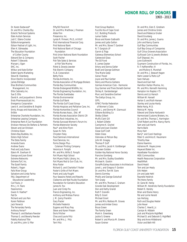1993 - 2013

Dr. Karen Eastwood\* Dr. and Mrs. Charles Eby Eclectic Technical Systems Eden Autism Services Jodi C. Edens-Crocker Edible Arrangements Edison Festival of Light, Inc. Ellen K. Edmeades The Education Foundation of Collier County Edward Don & Company Robert T. Edwards Maryan J. Egan EHC, Inc. Wilbur and Kate Eichler Eident Sports Marketing Steve W. Eisenberg Elcon Electric Incorporated James Eldridge Elias Brothers Communities Management, Inc Elite Cabinetry Inc. Sue D. Ellis David A. and Jacqueline A. Emma Endo Pharmaceuticals Inc. Energenics Corporation Lewis K. and Geraldine B. English Ennis, Knupp and Associates, Inc EnSite Enterprise Charlotte Foundation, Inc. Enterprise Leasing Company Enterprise Rent-A-Car Foundation Erickson Herscoe De Stefano & Partners Steven and Jan Erickson Christina Esson Estero Bay Buddies, Inc. Estero High School The Estes Family Amanda Evans Andrew Evans Fred and Judy Evans Edwin M. Everham III George and Joan Exner Extreme Networks Extreme Turf, Inc. The Ezzell Family Robert J. Fagan Falls River Group Salvatore and Linda Farina FAU, Department of Educational Leadership Carl Fazio, Jr Mrs. J. H. Fears Feasinomics Gwen H. Feather\* Fed Ex Richard and Lois Fein Karen Feldman Jack Fenwick The Fernandez Family Anthony Ferrari\* Thomas G. and Barbara Fewster Thomas G. and Beverly Fewster Fidelity National Title Dr. and Mrs. John S. Fifer

Fifty/50 Floral Art Dr. and Mrs. Matthew J. Fineman Abbe Finn Fireservice, Inc. Lynda R. Firment, Ph.D., A.R.N.P. First International Financial Corp. First National Bank First National Bank of Chicago Foundation First Union National Bank Foundation Scott Fischer Fish Tale Sales & Services at Fish Tale Marina Fishel & Dowdy Jeweler Fisk Electric Company F.L.B. Corporation Betty Flora Florida Architects, Inc. Florida Association of Mortgage Brokers Florida Bay Communities Florida Endangered Wildlife, Inc. Florida Engineering Foundation, Inc. The Florida Everblades Florida Environmental Florida Gulf Bank The Florida Gulf Coast Group Florida Hospices and Palliative Care, Inc. Florida Humanities Council Florida Nurses Assoc., Dist. #7 Florida Nurses Association District 29 Florida Rock Industries, Inc. Florida Suncoast Women's Forum Inc Florida Watercolor Society Paul\* and Aline Flynn Susan N. Fohs Chrysten Foley Food Seminars International Food Services, Inc. Forms Design Plus - Coleman Printing Company Veronica A. Forsyth Mr. and Mrs. Willis E. Forsyth Fort Myers High School Fort Myers Public Library, Inc. Fort Myers Rod & Gun Club, Inc. Nina Foster Richard G. and Charlotte F. Foster Foster's Grille of Fort Myers Frank and Judy Fought Four Seasons Hotels and Resorts Claiborne and Ned Foulds Foundation Foundation for Geriatric Education James N. Fox Juan and Cindy Fra Francis Engineering, Inc. Anthony and Melissa Franco J. M. (Jerry) Franklin Gary Frazier Michelle Frederick Eugene and Mary Frey Steve and Karen Friesen Doris Fritcher Chas and Laurie Fritz Mr. and Mrs. J. Fritz Terri Fritz

Frost Group Realtors Fuccillo Kia of Cape Coral G.C. Building Products Lamar Gable Bruce and Karen Galbraith James and Lydia Galton Mr. and Mrs. Stowe T. Gardner N. T. Gargiulo LP Garvin & Tripp Gateway Elementary School Gatewood Glass The GE Fund E. James Geater Emory and Donna Geller Bodil and George Gellman Tina Marie Gelpi Geraci Travel Joyce and Paul Gerber Henry and Marcia Gerkens German American Club - Harmonie Guy Germer and Trixie Dorsett-Germer Shirley K. Gerstenberger Marc and Geraldine Gertner The Gettys Group, Inc. GFFL GFWC Florida Federation of Women's Clubs Frank L. and Donna M. Giannuzzi Gilbane Building Co Shelby Gilbert Muffy Clark Gill J. Robert Gillette Carolynne K. Gischel David and Joan Glacken Glase Golf Craft Helen Glass Glenview at Pelican Bay John W. Gnagey Thomas P. Goff Dr. and Mrs. Jacob H. Goldberger Maureen Golden Golden Key National Honor Society Francine Gomberg Mr. and Mrs. Dudley Goodlette Michael A. Gookin Gora/McGahey Associates in Architecture Janet L. and Gregory F. Gordon Dr. and Mrs. Tom W. Gore Dennis Gormley Phyllis and George Gotschall Tom Grady Mr. and Mrs. Thomas C. Graham Grande Oak Development Don and Kathy Grandi Ruth T. Grandin Billy D. Grant Michael Grant Mr. and Mrs. Wallace M. Graves James and Amber Greco Bruce Green The Family Green Mark A. Greenberg Jackie S. Greene Robert V. and Marcia M. Greene Susan Greiner

Dr. and Mrs. Glen E. Gresham James and Christina Grote David and Rebecca Gruber David Grunberg Dr. and Mrs. James J. Guerra John and Nancy Guerra Gulf Bay Communities Gulf Bay Group of Companies Gulf Citrus Growers Association Gulfcoast Coin & Jewelry Brokers Gulf Disposal, Inc. June Gutknecht Guymann Construction of Florida, Inc. R. F. Haffenreffer, IV and Mallory K. Marshall Dr. and Mrs. J. Stewart Hagen Hahn Loeser & Parks LLP Sven Hahues David and Gail Hall Hamilton Harbor Marina, Inc. Mr. and Mrs. Kenneth Hamming Hampton Inn Naples I-75 Dennis and Liz Hansch William W. Hansell Harlan S. and Ruth Hansen Stanley and Louise Hardy Bette Harig, M.D. Patricia M. Harig Edward and Diane Harlyvetch Harmonized Customs Brokers, Inc. Dr. and Mrs. Thomas C. Harrington Chief Robert and Mrs. Nancy Harris Sam and Judi Harris Harris Bank Mary Hart Barry\* and Carol Hastings Peter O. and Alice E. Hausmann Timothy Haw Elaine Hawkins Adrienne M. Hayes-Jones Hayward Baker Inc. Hazelbaker Foundation HDG Communities Health Resources Corporation **HealthPark** David Heald Tom and Jan Healy Erik Heben Jim and Jade Hehl Raynelle Heidrick The Heins Family Dr. Gene W. Hemp William M. Hendricks Family Foundation Robert E. Hendry Brian and Elaine Henry Pat and Lorrie Herald Leo Hertzog Ruth and Douglas Hester Julie Heuer Charles C. Hewitt, Jr. Carolyn N. Hibbeln Jack and Marjorie Highfield Michael D. and Deborah S. Highfield Skip and Anne Hildebrand Victor and Beth Hill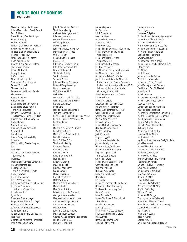

1993 - 2013

Maurice\* and Marie Hillmyer Hilton Marco Island Beach Resort Emil G. Hirsch Donald R. and Carolyn Hodges Robert F. Hoel, Jr. Ernst W. B. Hoen William C. and Diane A. Hollister Hollywood Woodwork, Inc. Mildred B. and Albert M. Holtz Rhonda J. Holtzclaw Madeline and Scott Holzem Honc Industries, Inc Charles B. and Audrey K. Hood The Hopkins Family Jeanne M. Hopple Jeffrey S. Horne J. Webb Horton Mrs. Jeffrey R. Hossler Charles and Barb Hostetler Edward W. Houck Sherree Houston Eugene and Heidi Hoyt Family Elaine Hozdik Harold M. Huber Adrian Hudler Dr. and Mrs. Bennett Hudson Dr. and Mrs. Bruce Hudson and Nathan Hudson Mr. and Mrs. Gareth K. Hudson - In Memory of Julian L. Hudson Hughes, Snell & Company, P.A. Dottie Hummel Nancy Humphrey Humphrey-Rosal Architects George Hunt Larry I. Hunt Hunter Douglas Hospitality Hypower IBM Matching Grants Program Ikon Inside Out Insurance & Risk Management Services, Inc. IntelliNet International Services Center, Inc. IPB Development, LLC Dr. Madelyn Isaacs and Mr. Christopher Smith David Ivankovic J. & D. Grading, Inc. JFK & Associates, Inc. JJB Management & Consulting, Inc. J. J. Taylor Distributin Fort Myers-Naples, Inc. J. L. Wallace, Inc. Lynda Jack David and Donna Jaeger Roger W. and Donna W. Jaeger Robert and Trinky Jarrett Jeffrey Estate & Precious Jewels Jenks Builders, Inc. Jensen Underground Utilities, Inc. Jet's Pizza George and Philomena Johanssen John Madden Company

John R. Wood, Inc. Realtors The Johnson Family Claire and George Johnson F. Edward Johnson Gary and Teresa Johnson Michael Johnson Steven Johnson Johnson & Wales University Dennis and Carol Jones Otis L. Jordan\* Ken and Rita Jorgensen J.S.U.B., Inc. KBS Capital Markets Group K C Stock Foundation, Inc. Dr. Abbott Kagan II The Kandel Family Scott L. Karakas Selma S. Katzen John and Nancy Kavanagh Ken and Mary Kavanagh Kevin J. Kavanagh H. C. Kazanas, Ph.D. Nick Kellen Mr. and Mrs. Daniel N. Keller William G. and Lois E. Kelley Richard C. Kennedy Peter Kent John and Julienne Kermond Tom and Janet Ketteler Kevin L. Erwin Consulting Ecologist, Inc. Kevin M. Burns & Associates, P.A. Key Foundation KeyCorp Mr. and Mrs. James W. Keyser Key Western Grille Mr. and Mrs. Donald A. Kiah Donald R. Kielgas Kevin D. Kiley, D.D.S. The Lou Kirk Family Kirkwood Electric Kathryn A. Kleist Charles Kleman Knott & Consoer P.A. Maria Koenig Robert A. Koenig David M. Kolker Judith A. Koppelman Gloria Korman Mary J. Koskinas Kraft Office Center Matthew Kragh Mr. and Mrs. Thomas Krick Michele Kroffke Mrs. Richard B. Kron Edward and Linda Krukowski George A. Krumenacker Margaret and Robert A. Kruse Andrew and Angela Kunkle Andrea and Bill Kuzbyt Leila LaCrosse Janet and Dan La Mountt David and Judy Lamper George W. and Barbara J. Landgrebe Landmar Group, LLC Dr. Barry E. Langford

Barbara Lapham Dr. Ken Laser L.A.T. Foundation Dean Lauritzen Dr. Brenda B. Lazarus Thomas C. Leduc Lee & Associates Lee Building Industry Association, Inc. Lee County Community Tennis Association, Inc. Lee County Hotel & Motel Association, Inc. Lee County Port Authority The Jim Lee Family Lee Memorial Emergency Physicians Lee Memorial Home Health Dr. and Mrs. Peter C. Lefferts Judith Hudson Lefkowitz, Meredith Hudson Marcum, Gareth Kingsbury Hudson and Bruce Wyeth Hudson, M.D., in honor of their mother, Muriel Kingsbury Hudson, R.N. Lehigh Regional Medical Center Elise P. Lehman Thomas A. Leipzig Robert and M Kathleen Leitch Mr. and Mrs. Willi Lermer Nancy O. and Donald W. Lesher Clark R. and Karen B. Lewis Gordon and Susette Lewis Mr. and Mrs. Phil Lewis Lexus of Fort Myers Liberty Mutual Insurance Co. David and Sunny Liddell Martha Lieb-Cox Jack W. Liebert Lloyd N. Liggett Laird A. and Laurie D. Lile Joan and Andy Lindauer Nilda and Harry W. Lindsay Dr. and Mrs. Morris J. Lipnik Stephen Lippens\* and Nancy Cobb-Lippens Carol Jean Locke Looking Glass Studio of Tattoo Garry and Suzanne Long Jack and Pat Long Nicholas A. Lopardo Jorge and Carol Lopez Helen Lord Liz Loredo Lotspeich Company of Florida, Inc. Dr. and Mrs. Gary Lounsberry The David A. Lounsbury Family Derek C. Lowe Lowe Products Co Lowes Charitable & Educational Foundation Douglas H. Lowndes LRA Naples LLC Lucas Century Glass Company Brian D. and Melinda L. Lucas Max Lummis Henry and Suzanne Lurie Ken and Libby Lusht

Lutgert Insurance Kurt Lutgert Lawrence E. Lykins William R. and Barbara J. Lymangood James S. and Claire H. Lynch M.C. Harry Associates, Inc M & P Reynolds Enterprises, Inc. Mariann and Robert MacDonald Mary and J Hugh MacKellar Eila and Rod MacKenzie David W. Mackey Marjorie and John Madden Major League Baseball Players Trust for Children Cal Majure Mark Makara James and Linda Malone Dr. Helen L. Mamarchev Miriam and Sonny Mandell Joan Manley and Kit Bauman David B. and Tina M. Mantel John Marazzi March of Dimes Mr. and Mrs. Edward S. Marco Marco Island Concert Choir Douglas Marcotte Camille and Sabino Marinella Paul\* and Joan Marinelli Mariner Properties Development, Inc. Martha H. and William J. Marland Marsh Consumer Connexions Marriott's Crystal Shores Marsala Pizza of Estero, Inc. Richard J. Marsh Daniel and Janet Martin Linda and John Martin Martin Weston Co. Ingrid Martinez-Rico and Craig W. Heller Jane Martinovich Mr. and Mrs. R. A. Mascott Kenneth and Jane E. Mathers Mathews Construction Matthew W. Mathias Richard and Marianne Matties The Mattingly Family Dr. and Mrs. M. E. Mattingly Craig and Deb Matus Dr. Ingeborg G. Mauksch\* Tom and Sara Mayo Rolfe M. McAfee Linda L. McAlister Tim and Kelly McCarthy\* Dee and Speed\* McClay Roy W. McCloskey Vikki McConnell Robert W. McCoy, Jr. Timothy and Joan McDonald Horace and Eileen McDonell Gerald C. and Helen M. McDonough Deborah King McEwan Ron McEwan Johnny E. McGaha Rose McGahee Gordon McGee\* Dr. James A. and Joan P. McGee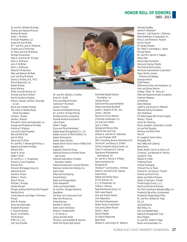1993 - 2013

Dr. and Mrs. William McGrady Thomas and Desiree McGuire Melissa McIntosh Helen L. McIntyre McIntyre Properties, LLC Rusty and Traci McKee Mr.\* and Mrs. Jack H. McKenzie Charles and Lil McKinney W. Thom and Vicki McKinney Michael McLauchlan Peter D. and Anne M. McLeod Mark A. McManus John F. McMillen Darin L. McMurray Edward P. McNamara Pete and Deborah McNeal John and May McShane Donna S. McVety, R.N., Ph.D. Mecca Resources, Inc. Robert Meister Norm Melious Mello Concrete Service, Inc. Michael and Karin Meloch Merrill Gardens at Naples Merson, Sawyer, Johnson, Dunwody & Cole Bruce and Candace Mesner The Urban & Shelley Meyer Family Foundation Charles L. Meyers Sandra J. Mezinis Michael R. Smith and Associates, Inc. George and Madeleine Michaels Anthony R. Migliaro Larry and Linda Mignerey Ken and Pat Millar Jack D. Miller Steve and Jill Miller Mr. and Mrs. T. Wainwright Miller, Jr. Edward and Valerie Milliken William Mills Karen N. Mock Helen V. Moe\* Dr. and Mrs. L. C. Mogelvang Molzan & Gray Properties Manuel Mon Monarch Mortgage Group Inc. Deborah Moore Harold D. Moore Steven C. Moore Dave P. Moran Michael J. Morgan Sandra Morgan Morgan Stanley Matching Gifts Program Wendy Morris Cyndy Peacock and Roger F. Morrison Mosaic Ellen W. Mosher Moss and Associates Elizabeth Mossman K. Mark Mottolese Movin' On Mobility The Mowreys MTM Ice 1, LLC John Scot Mueller



Mr. and Mrs. William J. Mueller Emilio M. Mufdi Rima and Edward Mullins Catherine P. Mummert James P. Murphy Donald and Elizabeth Murray Mr. and Mrs. Michael Murray Multiple Activity Computing Myerlee Medical Association Lewis Myers Albert F. Nagel Myra and Philip Nalibotsky\* Naples Asset Management Co., LLC Naples Council On World Affairs, Inc. Naples Motorsports Naples Opera Society Naples Shore Fund in honor of Betty Ford Naples Zoo Napoleon Financial Group National Alliance on Mental Illness Lee County National Association of Health Education Centers National Association of Social Workers National Construction Rentals, Inc. Nancy Near Mike and Kay Nearing Donald Nelson Ralph and Marge Nelson Diana Nerestant\* Linda and Donald Nettis Dr. and Mrs. Douglas Newland NewsBank The New York Community Trust New York Moves LLC Philip Niarchos Kenneth D. Nichols Karen and Al Nicholson William F. Niedernhofer C. W. Nimitz, Jr. James and Pam Nolte Thomas J. and Elizabeth B. Nomina North Fort Myers High School

Northside Naples Kiwanis Foundation, Inc George Norton David and Mae Jean Nothstine Renee and James Novakoff Judith L. Nuland, M.S.N., R.N. James L. Nulman Patricia O'Connor-Benson O'Donnell Landscapes, Inc. Jim and Carol Oetter Lynn J. O'Hare George and Donna Ohye Olde Florida Golf Club William A. and Kim M. Oleksinski Jon and Charleen Olliff OMC Consulting Service International Inc. Thomas M. and Nancy H. O'Neill Online Computer Library Center, Inc. Glenn P. and Jeanine R. Oorlog Operations Management International, Inc Mr. and Mrs. Thomas F. O'Reilly David and Elaine Orr Margaret Ort Thomas F.\* and Dorothy L. Orthman Robert S. and Marcia W. Oswald David Owen Robert and Shirley Ozycz PC Pro Schools, Inc. P J J D Enterprises, Inc. Amber K. Pacheco Page Mechanical Group, Inc Palm Island Resort Jack and Andrea Palmer John Papandrea Park Shore Development Parker Family Corportation Gary and Carlene Pasche David C. Pasco Patricia Pasden Dr. Dennis Pataniczek Bipin Patel William G. and Jocelyn M. Paterson

Patnode Roofing Harriet P. Patterson\* Samuel C. and Suzanne L. Patterson Paula Robertson & Associates, Inc. Mary S. and Richard A. Paulson Jerry B. Pausch Dr. Sandra Pavelka Drs. Peter D. and Regina L. Payne Michael Peceri Mr. and Mrs. Vernon E. Peeples Renee Peet Pelican Bay Foundation Emile and Carolyn Pelotte The Richard Pence Family Peninsula Improvement Corporation Peper, Martin, Jensen, Maichel and Hetlage Georgina Percel Clyde Perfect Performance Door and Hardware, Inc. Alan and Donna Perkins Chesley "Mike" M. Perry, Sr.\* Peter and Rosanne Aresty Foundation Gretchen Peterson Jill Peterson Kathy Peterson Judith B. and Vincent D. Pettinelli Pettinelli Family Foundation Alex Pezeshkan Phi Delta Kappa-SW Florida Chapter Wendy I. Piascik Arthur W. Pickering Pierce, Goodwin, Alexander & Linville Jim and Pat Piquette Anthony and Ricky Pires Pita Pit Dr. Josephine Tutino Polito Marydelle Polk Pop'z BBQ and Catering Barry Porter Porter, Wright, Morris & Arthur LLP Christine J. and Bernard N. Portnoy Juanita M. Pray Nathan N. Prefer Preferred Travel Premier Packaging Premium Tour & Travel Richard M. and Sylvia E. Prewitt Richard and Doris Price Bobby and Stella Pritchard Estate of Oannes A. Pritzker Private Equity Group, L.L.C. David and Marjorie Prolman Pro-Tech Caulking & Waterproofing, Inc. Prudential Securities, Incorporated Prudential Village Realty Place Mr. and Mrs. William W. Pugh PZ, LLC Lyle Quaintance R&D Villas, Inc. Dick and Deedee Raby Radiocat Management Corp Bruce Ragain Dr. and Mrs. Robert F. Rapp Rautio and Associates, Inc.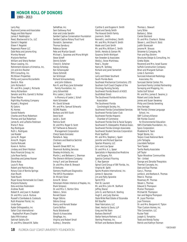1993 - 2013

Larry Ray Raymond James and Associates Peggy and Bob Raynor James F. Reddington Reed, Blackwood & Co., LLC Daniel V. Regelski Eileen F. Regelski Regenesis Power LLC Dale Reiss and Jerome King Monika Renard Marjorie Renfroe William and Sheryl Renken Resun Leasing, Inc. Retirement Advisors of America, Inc. Jim and Ann Reutter RFH Consulting, Inc. RG Brown Properties Phillip and Joanne Ricciardiello David A. Rice John Richards II Mr. and Mrs. Joseph J. Richards Henry Richardson Senator and Mrs. Garrett S. Richter Omar Rieche Right Way Plumbing Company Russell J. Ringland RJ Gators RL Homes Gerald Roberts Charles and Mary Robertson Thomas and Sue Robertson James N. and LaTeshia Robinson Maria F. Roca Ray Rodrigues Ruth L. Rodrigues Lee Roeder Jenna M. Rogan Anne M. Rogers Cecilia Rokusek Karen A. Rollins Lindsey and Sherri Rolston Roos Financial Group, Inc Julie Rose Family Dorothea and James Rosner Diane Ross Louis R. Ross Robert and Patricia Ross Rotary Club of Bonita Springs Alan Routh Todd Routh Royal Scoop Homemade Ice Cream Marjorie Rubacky Esta and Alan Rubinstein Andrew Rudd Robert R. and Joan H. Rudolph Dr. and Mrs. Luis A. Ruilova Russell's Clambakes & Cookouts Ruth Messmer Florist, Inc. Linda Ryan Ryder Orthopaedics, Inc Safari Club International - Naples/Fort Myers Chapter Saks Fifth Avenue Sakinah Salahu-Din Dr. and Mrs. Edward W. Salko

SallieMae, Inc. Sam Galloway Ford Alan and Linda Sandlin Sanibel Captiva Conservation Foundation Sanibel Captiva Rotary Trust Fund Donald A. Sanneman Thomas Sansbury Rebecca Sarver Pete and Marilyn Savalli Michael L. Savarese and Mona Wright Steve Scheff Dennis Schehr Cheryl A. Scheiner Harvey Schestag Ken Schexnayder Diane Schmidt Ian Schmoyer Richard Schnackenberg and John Gibbons Ron R. and Mary Jane Schneider Family Foundation, Inc. Jerry Schoenfeld Mrs. Lester J. Scholl - In Memory of Lester J. Scholl Hank Schroeder Mr. David Schwab Mr. and Mrs. Samuel Schwartz SCORE Naples Barbara and Will Scott Daryl Scott Jacob L. Scott Patricia Scott Dr. and Mrs. Roger D. Scott SCT Software & Resource Management Corporation Cheryl Seals-Gonzalez Pamella A. Seay Chalmers and Beatrice Sechrist Jim Seitz Seventh Street REIT, Inc Shamrock Building Services Sheeley Architects, Inc. Martin J. and Betteann L. Sherman The Sherwin-Williams Company Irving F. and Lee Sherwood Dr. and Mrs. Allen B. Shevach SI Ventures Siemens Healthcare Diagnostics The SIFCO Foundation Dr. Miriam Silver Anne M. Simon Simonsen-Hickok Interiors of Naples, Inc. Mark Simpson Dr. and Mrs. C. Norton Sims Debra L. Sirois Ronald Sisson Roger Sitkins Sitkins Group Nancy and Ronald Skabar Carrie Skifton Paula Sklodowski Slavich & Associates SlingPage, Inc. Virginia and Robert Small Audrey J. Smandra

Cynthia S. and Eugene H. Smith David and Sandy Smith The Howard Smith Family Joanne A. Smith Kenneth J. and Andrea J. Smith Mr. and Mrs. Michael R. Smith Wade and Carol Smith Mr. and Mrs. William C. Smith Smith, Hendra & Gerson PA Susanna Smith-Wohlpart Ken Sneeden & Associates Sheila J. Snow-Martineau Neal L. Snyder Nancy M. Solliday Richard and Janet Somerlott Sony Larry and Eileen Southard South Florida Bank Southeast Mechanical Contractors, LTD Southern Gulf Coast Chapter of the Oncology Nursing Society Southwest Florida Branch of ASCE SouthWest Direct The Southwest Florida Attractions Association The Southwest Florida Conchologist Society, Inc. Southwest Florida Consolidated Services Southwest Florida Gator Club Southwest Florida Hispanic Chamber of Commerce Southwest Florida Oral & Facial Surgery Southwest FL Osteopathic Medical Assoc. Southwest Florida Urologic Associates Southwest Student Services Corporation Mark Spafford Mr. and Mrs. Stephen J. Spahr Jennifer and Richard Sparrow Spartan Masonry, LLC John and Lisa Spear Dr. and Mrs. K. L. Spear Specialists in Reproductive Medicine and Surgery, P.A. Spectra Contract Flooring C. Rae Spencer Spinal Cord Group of SW Florida, Inc. Virginia W. Splitt Sports Masters International, Inc. James D. Spounias Jim and Patty Sprankle Sprint PCS Pam St. Laurent Mr. and Mrs. John M. Stafford Jeffrey Staner John G. and Patricia K. Starling Hugh E. and Judy Starnes State Wide Real Estate of Escanaba Bill Stauffer Steel Fabricators, LLC Steel, Hector & Davis, LLP Greg and Pat Stein Barbara Steinhoff Stellar Venture Partners, LLC Sterling Prestress, Inc. William and Barbara Stewart

Thomas L. Stewart Larry Stiles Barbara J. Stites Carole Stockard Dr. and Mrs. Charles A. Stokes Steven L. and Dina H. Stolz Judith Stonecash Jerome M. Strauss Stroemer & Company, PA Fran and Ray Strohm Structures Design & Consulting, Inc Gretta Styles Reverend and Mrs. Israel Suarez Suffolk Construction Company Brian and Margaret Sullivan Linda S. Summers Suncoast Advanced Radiology Associates, P.A. Suncoast Dental Center, P.A. Sunniland Family Limited Partnership Surveying and Mapping, Inc. Suttie Golf School Mr. and Mrs. James E. Swaine, Jr. Robert and Linda Swank James and Susan Sweeney Philip and Glenda Sweeting Amy Swingle SW Florida Chinese Language School, Inc. SWF Culinary Alliance SW Florida Council for Environmental Education SWS Charitable Foundation, Inc. Sysco Corporation Madeleine R. Taeni Target Stores, Inc. Tarpon Coast National Bank John Tartaglia Lisa Adele Tashjian Tami Tassler Tavilla Realty Associates Jeff Taylor Taylor Woodrow Communities Ten - United George and Zenaida Theopistos Thermal Concepts, Inc. Dale and Sue Thomas Gary L. Thomas James A. and Barbara A. Thomas Peter A. Thomas Rosemary M. Thomas Steven L. Thomas Edward S. Thompson Marion Thompson Michael W. Thompson Van and Regina Thompson M. Joyce Thornton Joan Timmons Dr. and Mrs. Benjamin K. Tipton Titan Custom Homes, Inc. Title Connection, LLC Rucker Todd Joseph G. Tompkins Todd and Wendy Tooley Patrick and Kathryn Tooman